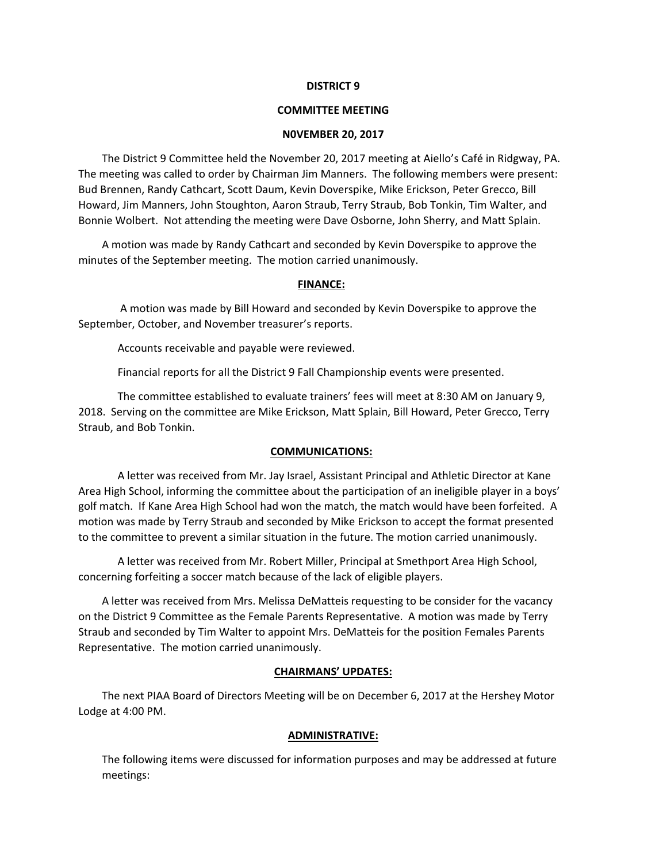#### **DISTRICT 9**

#### **COMMITTEE MEETING**

#### **N0VEMBER 20, 2017**

The District 9 Committee held the November 20, 2017 meeting at Aiello's Café in Ridgway, PA. The meeting was called to order by Chairman Jim Manners. The following members were present: Bud Brennen, Randy Cathcart, Scott Daum, Kevin Doverspike, Mike Erickson, Peter Grecco, Bill Howard, Jim Manners, John Stoughton, Aaron Straub, Terry Straub, Bob Tonkin, Tim Walter, and Bonnie Wolbert. Not attending the meeting were Dave Osborne, John Sherry, and Matt Splain.

A motion was made by Randy Cathcart and seconded by Kevin Doverspike to approve the minutes of the September meeting. The motion carried unanimously.

#### **FINANCE:**

 A motion was made by Bill Howard and seconded by Kevin Doverspike to approve the September, October, and November treasurer's reports.

Accounts receivable and payable were reviewed.

Financial reports for all the District 9 Fall Championship events were presented.

The committee established to evaluate trainers' fees will meet at 8:30 AM on January 9, 2018. Serving on the committee are Mike Erickson, Matt Splain, Bill Howard, Peter Grecco, Terry Straub, and Bob Tonkin.

## **COMMUNICATIONS:**

A letter was received from Mr. Jay Israel, Assistant Principal and Athletic Director at Kane Area High School, informing the committee about the participation of an ineligible player in a boys' golf match. If Kane Area High School had won the match, the match would have been forfeited. A motion was made by Terry Straub and seconded by Mike Erickson to accept the format presented to the committee to prevent a similar situation in the future. The motion carried unanimously.

A letter was received from Mr. Robert Miller, Principal at Smethport Area High School, concerning forfeiting a soccer match because of the lack of eligible players.

A letter was received from Mrs. Melissa DeMatteis requesting to be consider for the vacancy on the District 9 Committee as the Female Parents Representative. A motion was made by Terry Straub and seconded by Tim Walter to appoint Mrs. DeMatteis for the position Females Parents Representative. The motion carried unanimously.

## **CHAIRMANS' UPDATES:**

The next PIAA Board of Directors Meeting will be on December 6, 2017 at the Hershey Motor Lodge at 4:00 PM.

## **ADMINISTRATIVE:**

The following items were discussed for information purposes and may be addressed at future meetings: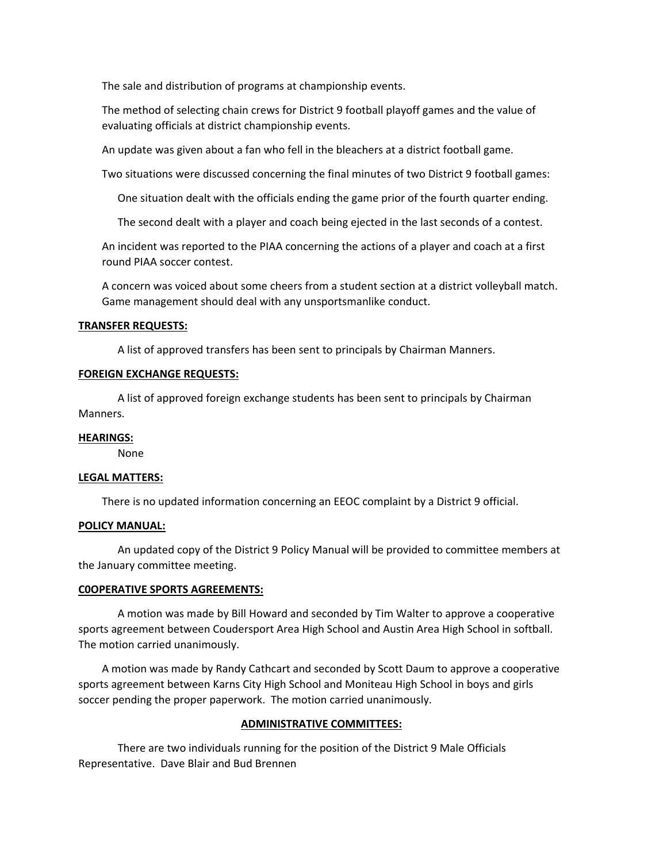The sale and distribution of programs at championship events.

The method of selecting chain crews for District 9 football playoff games and the value of evaluating officials at district championship events.

An update was given about a fan who fell in the bleachers at a district football game.

Two situations were discussed concerning the final minutes of two District 9 football games:

One situation dealt with the officials ending the game prior of the fourth quarter ending.

The second dealt with a player and coach being ejected in the last seconds of a contest.

An incident was reported to the PIAA concerning the actions of a player and coach at a first round PIAA soccer contest.

A concern was voiced about some cheers from a student section at a district volleyball match. Game management should deal with any unsportsmanlike conduct.

# **TRANSFER REQUESTS:**

A list of approved transfers has been sent to principals by Chairman Manners.

## **FOREIGN EXCHANGE REQUESTS:**

A list of approved foreign exchange students has been sent to principals by Chairman Manners.

## **HEARINGS:**

None

## **LEGAL MATTERS:**

There is no updated information concerning an EEOC complaint by a District 9 official.

## **POLICY MANUAL:**

An updated copy of the District 9 Policy Manual will be provided to committee members at the January committee meeting.

## **C0OPERATIVE SPORTS AGREEMENTS:**

A motion was made by Bill Howard and seconded by Tim Walter to approve a cooperative sports agreement between Coudersport Area High School and Austin Area High School in softball. The motion carried unanimously.

A motion was made by Randy Cathcart and seconded by Scott Daum to approve a cooperative sports agreement between Karns City High School and Moniteau High School in boys and girls soccer pending the proper paperwork. The motion carried unanimously.

## **ADMINISTRATIVE COMMITTEES:**

There are two individuals running for the position of the District 9 Male Officials Representative. Dave Blair and Bud Brennen